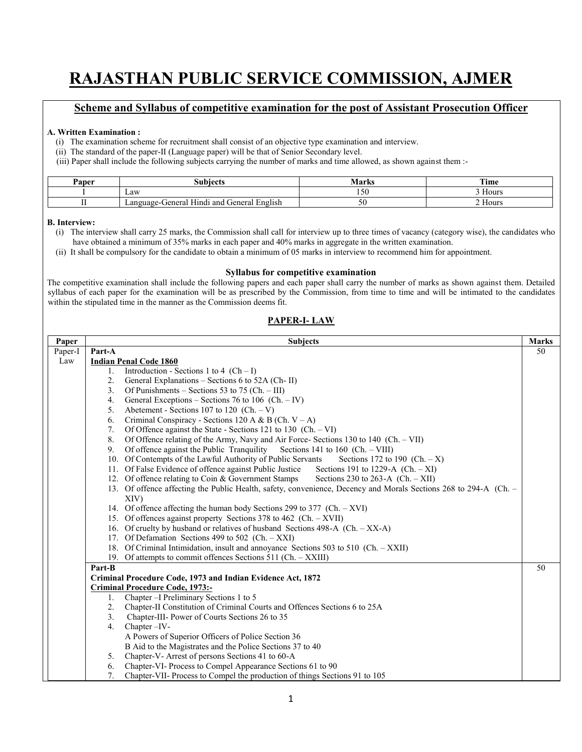# **RAJASTHAN PUBLIC SERVICE COMMISSION, AJMER**

#### **Scheme and Syllabus of competitive examination for the post of Assistant Prosecution Officer**

#### **A. Written Examination :**

- (i) The examination scheme for recruitment shall consist of an objective type examination and interview.
- (ii) The standard of the paper-II (Language paper) will be that of Senior Secondary level.
- (iii) Paper shall include the following subjects carrying the number of marks and time allowed, as shown against them :-

| Paper | subject <sup>r</sup>                                                               | <b>Marks</b>         | run*<br>ıme |
|-------|------------------------------------------------------------------------------------|----------------------|-------------|
|       | Law                                                                                | $\sim$ $\sim$<br>150 | Hours       |
|       | $\sim$<br>$\sim$<br>.<br>English<br>Hindi and<br>cieneral<br>-Cieneral<br>Language |                      | -lours      |

#### **B. Interview:**

- (i) The interview shall carry 25 marks, the Commission shall call for interview up to three times of vacancy (category wise), the candidates who have obtained a minimum of 35% marks in each paper and 40% marks in aggregate in the written examination.
- (ii) It shall be compulsory for the candidate to obtain a minimum of 05 marks in interview to recommend him for appointment.

#### **Syllabus for competitive examination**

The competitive examination shall include the following papers and each paper shall carry the number of marks as shown against them. Detailed syllabus of each paper for the examination will be as prescribed by the Commission, from time to time and will be intimated to the candidates within the stipulated time in the manner as the Commission deems fit.

#### **PAPER-I- LAW**

| Paper   | <b>Subjects</b>                                                                                                  | <b>Marks</b> |
|---------|------------------------------------------------------------------------------------------------------------------|--------------|
| Paper-I | Part-A                                                                                                           | 50           |
| Law     | <b>Indian Penal Code 1860</b>                                                                                    |              |
|         | Introduction - Sections 1 to 4 $(Ch-I)$<br>1.                                                                    |              |
|         | 2.<br>General Explanations – Sections 6 to 52A (Ch-II)                                                           |              |
|         | Of Punishments – Sections 53 to 75 (Ch. – III)<br>3.                                                             |              |
|         | General Exceptions – Sections 76 to 106 (Ch. – IV)<br>4.                                                         |              |
|         | Abetement - Sections 107 to 120 (Ch. $-V$ )<br>5.                                                                |              |
|         | Criminal Conspiracy - Sections 120 A & B (Ch. $V - A$ )<br>6.                                                    |              |
|         | Of Offence against the State - Sections 121 to 130 (Ch. $-VI$ )<br>7.                                            |              |
|         | 8.<br>Of Offence relating of the Army, Navy and Air Force- Sections 130 to 140 (Ch. - VII)                       |              |
|         | Of offence against the Public Tranquility<br>Sections 141 to 160 (Ch. $-$ VIII)<br>9.                            |              |
|         | 10. Of Contempts of the Lawful Authority of Public Servants<br>Sections 172 to 190 $(Ch. - X)$                   |              |
|         | 11. Of False Evidence of offence against Public Justice<br>Sections 191 to 1229-A $(Ch. -XI)$                    |              |
|         | 12. Of offence relating to Coin & Government Stamps<br>Sections 230 to 263-A $(Ch. - XII)$                       |              |
|         | 13. Of offence affecting the Public Health, safety, convenience, Decency and Morals Sections 268 to 294-A (Ch. - |              |
|         | XIV)                                                                                                             |              |
|         | 14. Of offence affecting the human body Sections 299 to 377 (Ch. - XVI)                                          |              |
|         | 15. Of offences against property Sections 378 to 462 (Ch. - XVII)                                                |              |
|         | 16. Of cruelty by husband or relatives of husband Sections 498-A (Ch. $-$ XX-A)                                  |              |
|         | 17. Of Defamation Sections 499 to 502 (Ch. - XXI)                                                                |              |
|         | 18. Of Criminal Intimidation, insult and annoyance Sections 503 to 510 (Ch. - XXII)                              |              |
|         | 19. Of attempts to commit offences Sections 511 (Ch. - XXIII)                                                    |              |
|         | Part-B                                                                                                           | 50           |
|         | Criminal Procedure Code, 1973 and Indian Evidence Act, 1872                                                      |              |
|         | <b>Criminal Procedure Code, 1973:-</b>                                                                           |              |
|         | Chapter - I Preliminary Sections 1 to 5<br>1.                                                                    |              |
|         | Chapter-II Constitution of Criminal Courts and Offences Sections 6 to 25A<br>2.                                  |              |
|         | 3 <sub>1</sub><br>Chapter-III- Power of Courts Sections 26 to 35                                                 |              |
|         | 4.<br>Chapter - IV-                                                                                              |              |
|         | A Powers of Superior Officers of Police Section 36                                                               |              |
|         | B Aid to the Magistrates and the Police Sections 37 to 40                                                        |              |
|         | Chapter-V-Arrest of persons Sections 41 to 60-A<br>5.                                                            |              |
|         | Chapter-VI- Process to Compel Appearance Sections 61 to 90<br>6.                                                 |              |
|         | 7.<br>Chapter-VII- Process to Compel the production of things Sections 91 to 105                                 |              |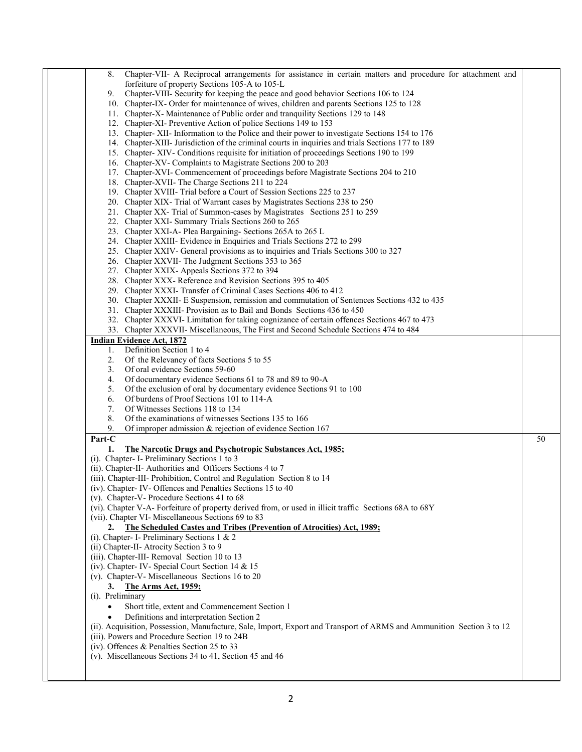| Chapter-VII- A Reciprocal arrangements for assistance in certain matters and procedure for attachment and<br>8.       |    |
|-----------------------------------------------------------------------------------------------------------------------|----|
| forfeiture of property Sections 105-A to 105-L                                                                        |    |
| Chapter-VIII- Security for keeping the peace and good behavior Sections 106 to 124<br>9.                              |    |
| 10. Chapter-IX- Order for maintenance of wives, children and parents Sections 125 to 128                              |    |
| 11. Chapter-X- Maintenance of Public order and tranquility Sections 129 to 148                                        |    |
| 12. Chapter-XI- Preventive Action of police Sections 149 to 153                                                       |    |
| 13. Chapter-XII- Information to the Police and their power to investigate Sections 154 to 176                         |    |
| 14. Chapter-XIII- Jurisdiction of the criminal courts in inquiries and trials Sections 177 to 189                     |    |
| 15. Chapter-XIV- Conditions requisite for initiation of proceedings Sections 190 to 199                               |    |
| 16. Chapter-XV- Complaints to Magistrate Sections 200 to 203                                                          |    |
| 17. Chapter-XVI- Commencement of proceedings before Magistrate Sections 204 to 210                                    |    |
| 18. Chapter-XVII- The Charge Sections 211 to 224                                                                      |    |
| 19. Chapter XVIII- Trial before a Court of Session Sections 225 to 237                                                |    |
| 20. Chapter XIX- Trial of Warrant cases by Magistrates Sections 238 to 250                                            |    |
| 21. Chapter XX- Trial of Summon-cases by Magistrates Sections 251 to 259                                              |    |
| 22. Chapter XXI- Summary Trials Sections 260 to 265                                                                   |    |
| 23. Chapter XXI-A- Plea Bargaining- Sections 265A to 265 L                                                            |    |
| 24. Chapter XXIII- Evidence in Enquiries and Trials Sections 272 to 299                                               |    |
| 25. Chapter XXIV- General provisions as to inquiries and Trials Sections 300 to 327                                   |    |
| 26. Chapter XXVII- The Judgment Sections 353 to 365                                                                   |    |
| 27. Chapter XXIX- Appeals Sections 372 to 394                                                                         |    |
| 28. Chapter XXX-Reference and Revision Sections 395 to 405                                                            |    |
| 29. Chapter XXXI- Transfer of Criminal Cases Sections 406 to 412                                                      |    |
| 30. Chapter XXXII- E Suspension, remission and commutation of Sentences Sections 432 to 435                           |    |
| 31. Chapter XXXIII- Provision as to Bail and Bonds Sections 436 to 450                                                |    |
| 32. Chapter XXXVI- Limitation for taking cognizance of certain offences Sections 467 to 473                           |    |
| 33. Chapter XXXVII- Miscellaneous, The First and Second Schedule Sections 474 to 484                                  |    |
| <b>Indian Evidence Act, 1872</b>                                                                                      |    |
| Definition Section 1 to 4<br>1.                                                                                       |    |
| Of the Relevancy of facts Sections 5 to 55<br>2.                                                                      |    |
| 3.<br>Of oral evidence Sections 59-60                                                                                 |    |
| Of documentary evidence Sections 61 to 78 and 89 to 90-A<br>4.                                                        |    |
| Of the exclusion of oral by documentary evidence Sections 91 to 100<br>5.                                             |    |
| 6.<br>Of burdens of Proof Sections 101 to 114-A                                                                       |    |
| 7.<br>Of Witnesses Sections 118 to 134                                                                                |    |
| Of the examinations of witnesses Sections 135 to 166<br>8.                                                            |    |
| 9.<br>Of improper admission $\&$ rejection of evidence Section 167                                                    |    |
| Part-C                                                                                                                | 50 |
| 1.<br><b>The Narcotic Drugs and Psychotropic Substances Act, 1985;</b>                                                |    |
| (i). Chapter- I- Preliminary Sections 1 to 3                                                                          |    |
| (ii). Chapter-II- Authorities and Officers Sections 4 to 7                                                            |    |
| (iii). Chapter-III- Prohibition, Control and Regulation Section 8 to 14                                               |    |
| (iv). Chapter-IV-Offences and Penalties Sections 15 to 40                                                             |    |
| (v). Chapter-V- Procedure Sections 41 to 68                                                                           |    |
| (vi). Chapter V-A- Forfeiture of property derived from, or used in illicit traffic Sections 68A to 68Y                |    |
| (vii). Chapter VI- Miscellaneous Sections 69 to 83                                                                    |    |
| 2. The Scheduled Castes and Tribes (Prevention of Atrocities) Act, 1989;                                              |    |
| (i). Chapter- I- Preliminary Sections 1 & 2<br>(ii) Chapter-II- Atrocity Section 3 to 9                               |    |
| (iii). Chapter-III- Removal Section 10 to 13                                                                          |    |
| (iv). Chapter- IV- Special Court Section 14 & 15                                                                      |    |
| (v). Chapter-V- Miscellaneous Sections 16 to 20                                                                       |    |
| The Arms Act, 1959;<br>3.                                                                                             |    |
| (i). Preliminary                                                                                                      |    |
|                                                                                                                       |    |
| Short title, extent and Commencement Section 1<br>$\bullet$                                                           |    |
| Definitions and interpretation Section 2                                                                              |    |
| (ii). Acquisition, Possession, Manufacture, Sale, Import, Export and Transport of ARMS and Ammunition Section 3 to 12 |    |
| (iii). Powers and Procedure Section 19 to 24B                                                                         |    |
| (iv). Offences $&$ Penalties Section 25 to 33                                                                         |    |
| (v). Miscellaneous Sections 34 to 41, Section 45 and 46                                                               |    |
|                                                                                                                       |    |
|                                                                                                                       |    |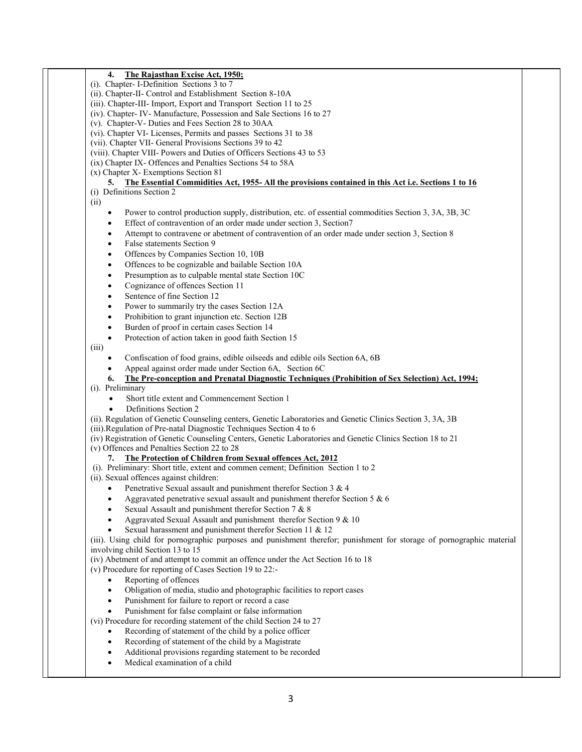| The Rajasthan Excise Act, 1950;<br>4.                                                                                 |  |
|-----------------------------------------------------------------------------------------------------------------------|--|
| (i). Chapter- I-Definition Sections 3 to 7                                                                            |  |
| (ii). Chapter-II- Control and Establishment Section 8-10A                                                             |  |
| (iii). Chapter-III- Import, Export and Transport Section 11 to 25                                                     |  |
| (iv). Chapter-IV-Manufacture, Possession and Sale Sections 16 to 27                                                   |  |
| (v). Chapter-V- Duties and Fees Section 28 to 30AA                                                                    |  |
| (vi). Chapter VI- Licenses, Permits and passes Sections 31 to 38                                                      |  |
| (vii). Chapter VII- General Provisions Sections 39 to 42                                                              |  |
| (viii). Chapter VIII- Powers and Duties of Officers Sections 43 to 53                                                 |  |
| (ix) Chapter IX- Offences and Penalties Sections 54 to 58A                                                            |  |
| (x) Chapter X- Exemptions Section 81                                                                                  |  |
| 5. The Essential Commidities Act, 1955- All the provisions contained in this Act i.e. Sections 1 to 16                |  |
| (i) Definitions Section 2                                                                                             |  |
| (ii)                                                                                                                  |  |
| Power to control production supply, distribution, etc. of essential commodities Section 3, 3A, 3B, 3C<br>٠            |  |
| Effect of contravention of an order made under section 3, Section7<br>$\bullet$                                       |  |
| Attempt to contravene or abetment of contravention of an order made under section 3, Section 8<br>$\bullet$           |  |
| False statements Section 9<br>$\bullet$                                                                               |  |
|                                                                                                                       |  |
| Offences by Companies Section 10, 10B<br>$\bullet$                                                                    |  |
| Offences to be cognizable and bailable Section 10A<br>$\bullet$                                                       |  |
| Presumption as to culpable mental state Section 10C<br>$\bullet$                                                      |  |
| Cognizance of offences Section 11<br>$\bullet$                                                                        |  |
| Sentence of fine Section 12<br>$\bullet$                                                                              |  |
| Power to summarily try the cases Section 12A<br>$\bullet$                                                             |  |
| Prohibition to grant injunction etc. Section 12B<br>$\bullet$                                                         |  |
| Burden of proof in certain cases Section 14<br>$\bullet$                                                              |  |
| Protection of action taken in good faith Section 15<br>$\bullet$                                                      |  |
| (iii)                                                                                                                 |  |
| Confiscation of food grains, edible oilseeds and edible oils Section 6A, 6B<br>$\bullet$                              |  |
| Appeal against order made under Section 6A, Section 6C<br>$\bullet$                                                   |  |
| The Pre-conception and Prenatal Diagnostic Techniques (Prohibition of Sex Selection) Act, 1994;<br>6.                 |  |
| (i). Preliminary                                                                                                      |  |
| Short title extent and Commencement Section 1<br>$\bullet$                                                            |  |
| Definitions Section 2                                                                                                 |  |
| $\bullet$                                                                                                             |  |
| (ii). Regulation of Genetic Counseling centers, Genetic Laboratories and Genetic Clinics Section 3, 3A, 3B            |  |
| (iii). Regulation of Pre-natal Diagnostic Techniques Section 4 to 6                                                   |  |
| (iv) Registration of Genetic Counseling Centers, Genetic Laboratories and Genetic Clinics Section 18 to 21            |  |
| (v) Offences and Penalties Section 22 to 28                                                                           |  |
| The Protection of Children from Sexual offences Act, 2012<br>7.                                                       |  |
| (i). Preliminary: Short title, extent and commen cement; Definition Section 1 to 2                                    |  |
| (ii). Sexual offences against children:                                                                               |  |
| Penetrative Sexual assault and punishment therefor Section 3 $\&$ 4<br>$\bullet$                                      |  |
| Aggravated penetrative sexual assault and punishment therefor Section 5 $& 6$                                         |  |
| Sexual Assault and punishment therefor Section 7 & 8                                                                  |  |
| Aggravated Sexual Assault and punishment therefor Section 9 & 10                                                      |  |
| Sexual harassment and punishment therefor Section 11 & 12                                                             |  |
| (iii). Using child for pornographic purposes and punishment therefor; punishment for storage of pornographic material |  |
| involving child Section 13 to 15                                                                                      |  |
| (iv) Abetment of and attempt to commit an offence under the Act Section 16 to 18                                      |  |
| (v) Procedure for reporting of Cases Section 19 to 22:-                                                               |  |
| Reporting of offences                                                                                                 |  |
|                                                                                                                       |  |
| Obligation of media, studio and photographic facilities to report cases                                               |  |
| Punishment for failure to report or record a case<br>$\bullet$                                                        |  |
| Punishment for false complaint or false information<br>$\bullet$                                                      |  |
| (vi) Procedure for recording statement of the child Section 24 to 27                                                  |  |
| Recording of statement of the child by a police officer<br>$\bullet$                                                  |  |
| Recording of statement of the child by a Magistrate<br>$\bullet$                                                      |  |
| Additional provisions regarding statement to be recorded                                                              |  |
| Medical examination of a child                                                                                        |  |
|                                                                                                                       |  |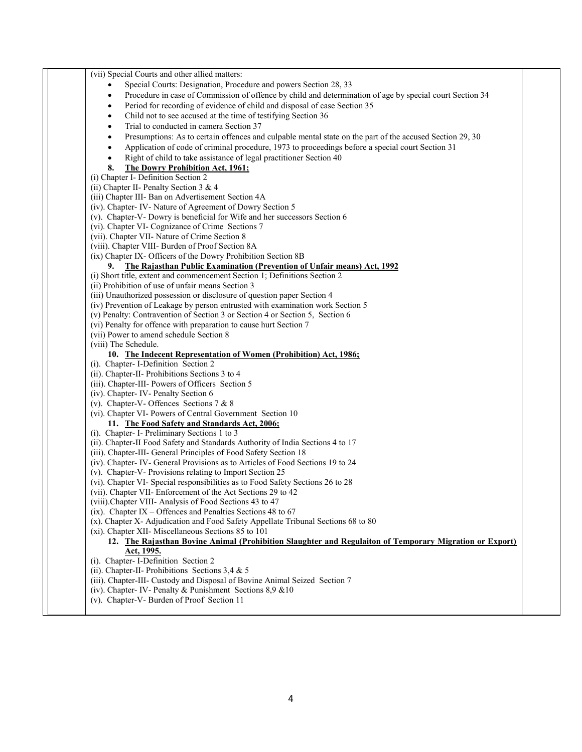| (vii) Special Courts and other allied matters:                                                                        |  |
|-----------------------------------------------------------------------------------------------------------------------|--|
| Special Courts: Designation, Procedure and powers Section 28, 33                                                      |  |
| Procedure in case of Commission of offence by child and determination of age by special court Section 34              |  |
| Period for recording of evidence of child and disposal of case Section 35<br>٠                                        |  |
| Child not to see accused at the time of testifying Section 36<br>$\bullet$                                            |  |
| Trial to conducted in camera Section 37                                                                               |  |
| Presumptions: As to certain offences and culpable mental state on the part of the accused Section 29, 30<br>$\bullet$ |  |
| Application of code of criminal procedure, 1973 to proceedings before a special court Section 31<br>$\bullet$         |  |
| Right of child to take assistance of legal practitioner Section 40<br>$\bullet$                                       |  |
| The Dowry Prohibition Act, 1961;<br>8.                                                                                |  |
| (i) Chapter I- Definition Section 2                                                                                   |  |
| (ii) Chapter II- Penalty Section 3 & 4                                                                                |  |
| (iii) Chapter III- Ban on Advertisement Section 4A                                                                    |  |
| (iv). Chapter-IV-Nature of Agreement of Dowry Section 5                                                               |  |
| (v). Chapter-V- Dowry is beneficial for Wife and her successors Section 6                                             |  |
| (vi). Chapter VI- Cognizance of Crime Sections 7                                                                      |  |
| (vii). Chapter VII- Nature of Crime Section 8                                                                         |  |
| (viii). Chapter VIII- Burden of Proof Section 8A                                                                      |  |
| (ix) Chapter IX- Officers of the Dowry Prohibition Section 8B                                                         |  |
| The Rajasthan Public Examination (Prevention of Unfair means) Act, 1992<br>9.                                         |  |
| (i) Short title, extent and commencement Section 1; Definitions Section 2                                             |  |
| (ii) Prohibition of use of unfair means Section 3                                                                     |  |
| (iii) Unauthorized possession or disclosure of question paper Section 4                                               |  |
| (iv) Prevention of Leakage by person entrusted with examination work Section 5                                        |  |
| (v) Penalty: Contravention of Section 3 or Section 4 or Section 5, Section 6                                          |  |
| (vi) Penalty for offence with preparation to cause hurt Section 7                                                     |  |
| (vii) Power to amend schedule Section 8                                                                               |  |
| (viii) The Schedule.                                                                                                  |  |
| 10. The Indecent Representation of Women (Prohibition) Act, 1986;                                                     |  |
| (i). Chapter- I-Definition Section 2                                                                                  |  |
| (ii). Chapter-II- Prohibitions Sections 3 to 4                                                                        |  |
| (iii). Chapter-III- Powers of Officers Section 5                                                                      |  |
| (iv). Chapter-IV-Penalty Section 6                                                                                    |  |
| (v). Chapter-V- Offences Sections 7 & 8                                                                               |  |
| (vi). Chapter VI- Powers of Central Government Section 10                                                             |  |
| 11. The Food Safety and Standards Act, 2006;                                                                          |  |
| (i). Chapter- I- Preliminary Sections 1 to 3                                                                          |  |
| (ii). Chapter-II Food Safety and Standards Authority of India Sections 4 to 17                                        |  |
| (iii). Chapter-III- General Principles of Food Safety Section 18                                                      |  |
| (iv). Chapter-IV- General Provisions as to Articles of Food Sections 19 to 24                                         |  |
| (v). Chapter-V- Provisions relating to Import Section 25                                                              |  |
| (vi). Chapter VI- Special responsibilities as to Food Safety Sections 26 to 28                                        |  |
| (vii). Chapter VII- Enforcement of the Act Sections 29 to 42                                                          |  |
| (viii).Chapter VIII- Analysis of Food Sections 43 to 47                                                               |  |
| (ix). Chapter IX – Offences and Penalties Sections 48 to 67                                                           |  |
| (x). Chapter X- Adjudication and Food Safety Appellate Tribunal Sections 68 to 80                                     |  |
| (xi). Chapter XII- Miscellaneous Sections 85 to 101                                                                   |  |
| 12. The Rajasthan Bovine Animal (Prohibition Slaughter and Regulaiton of Temporary Migration or Export)               |  |
| Act, 1995.                                                                                                            |  |
| (i). Chapter- I-Definition Section 2                                                                                  |  |
| (ii). Chapter-II- Prohibitions Sections 3,4 $&$ 5                                                                     |  |
| (iii). Chapter-III- Custody and Disposal of Bovine Animal Seized Section 7                                            |  |
| (iv). Chapter- IV- Penalty & Punishment Sections $8.9 \& 10$                                                          |  |
| (v). Chapter-V- Burden of Proof Section 11                                                                            |  |
|                                                                                                                       |  |